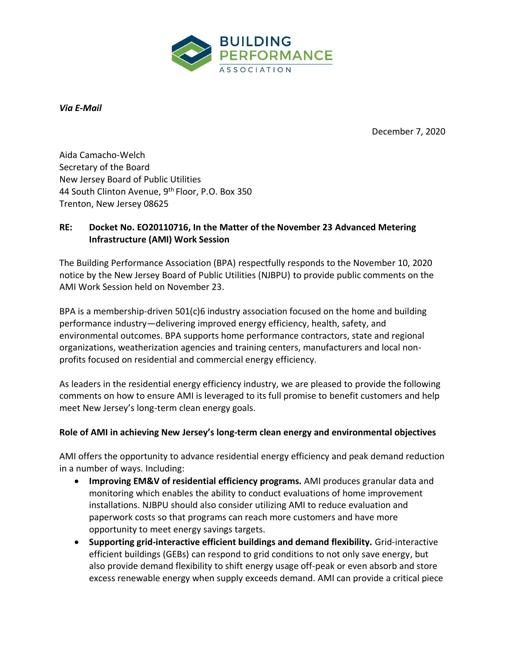

*Via E-Mail* 

December 7, 2020

Aida Camacho-Welch Secretary of the Board New Jersey Board of Public Utilities 44 South Clinton Avenue, 9<sup>th</sup> Floor, P.O. Box 350 Trenton, New Jersey 08625

## **RE: Docket No. EO20110716, In the Matter of the November 23 Advanced Metering Infrastructure (AMI) Work Session**

The Building Performance Association (BPA) respectfully responds to the November 10, 2020 notice by the New Jersey Board of Public Utilities (NJBPU) to provide public comments on the AMI Work Session held on November 23.

BPA is a membership-driven 501(c)6 industry association focused on the home and building performance industry—delivering improved energy efficiency, health, safety, and environmental outcomes. BPA supports home performance contractors, state and regional organizations, weatherization agencies and training centers, manufacturers and local nonprofits focused on residential and commercial energy efficiency.

As leaders in the residential energy efficiency industry, we are pleased to provide the following comments on how to ensure AMI is leveraged to its full promise to benefit customers and help meet New Jersey's long-term clean energy goals.

## **Role of AMI in achieving New Jersey's long-term clean energy and environmental objectives**

AMI offers the opportunity to advance residential energy efficiency and peak demand reduction in a number of ways. Including:

- **Improving EM&V of residential efficiency programs.** AMI produces granular data and monitoring which enables the ability to conduct evaluations of home improvement installations. NJBPU should also consider utilizing AMI to reduce evaluation and paperwork costs so that programs can reach more customers and have more opportunity to meet energy savings targets.
- **Supporting grid-interactive efficient buildings and demand flexibility.** Grid-interactive efficient buildings (GEBs) can respond to grid conditions to not only save energy, but also provide demand flexibility to shift energy usage off-peak or even absorb and store excess renewable energy when supply exceeds demand. AMI can provide a critical piece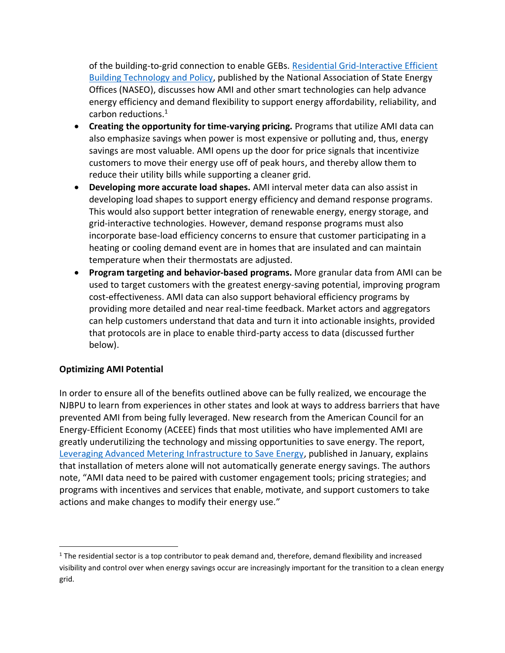of the building-to-grid connection to enable GEBs. [Residential Grid-Interactive Efficient](https://www.naseo.org/data/sites/1/documents/publications/AnnDyl-NASEO-GEB-Report.pdf)  [Building Technology and Policy,](https://www.naseo.org/data/sites/1/documents/publications/AnnDyl-NASEO-GEB-Report.pdf) published by the National Association of State Energy Offices (NASEO), discusses how AMI and other smart technologies can help advance energy efficiency and demand flexibility to support energy affordability, reliability, and carbon reductions.<sup>1</sup>

- **Creating the opportunity for time-varying pricing.** Programs that utilize AMI data can also emphasize savings when power is most expensive or polluting and, thus, energy savings are most valuable. AMI opens up the door for price signals that incentivize customers to move their energy use off of peak hours, and thereby allow them to reduce their utility bills while supporting a cleaner grid.
- **Developing more accurate load shapes.** AMI interval meter data can also assist in developing load shapes to support energy efficiency and demand response programs. This would also support better integration of renewable energy, energy storage, and grid-interactive technologies. However, demand response programs must also incorporate base-load efficiency concerns to ensure that customer participating in a heating or cooling demand event are in homes that are insulated and can maintain temperature when their thermostats are adjusted.
- **Program targeting and behavior-based programs.** More granular data from AMI can be used to target customers with the greatest energy-saving potential, improving program cost-effectiveness. AMI data can also support behavioral efficiency programs by providing more detailed and near real-time feedback. Market actors and aggregators can help customers understand that data and turn it into actionable insights, provided that protocols are in place to enable third-party access to data (discussed further below).

## **Optimizing AMI Potential**

In order to ensure all of the benefits outlined above can be fully realized, we encourage the NJBPU to learn from experiences in other states and look at ways to address barriers that have prevented AMI from being fully leveraged. New research from the American Council for an Energy-Efficient Economy (ACEEE) finds that most utilities who have implemented AMI are greatly underutilizing the technology and missing opportunities to save energy. The report, [Leveraging Advanced Metering Infrastructure to Save Energy,](https://www.aceee.org/sites/default/files/publications/researchreports/u2001.pdf) published in January, explains that installation of meters alone will not automatically generate energy savings. The authors note, "AMI data need to be paired with customer engagement tools; pricing strategies; and programs with incentives and services that enable, motivate, and support customers to take actions and make changes to modify their energy use."

<sup>1</sup> The residential sector is a top contributor to peak demand and, therefore, demand flexibility and increased visibility and control over when energy savings occur are increasingly important for the transition to a clean energy grid.